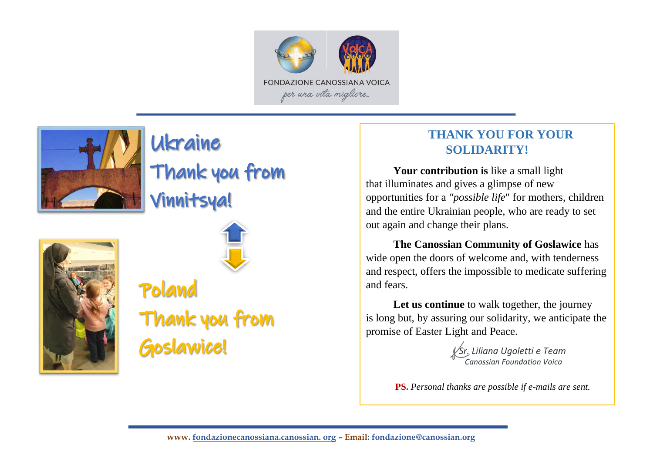



# Ukraine

## Thank you from

**Vinnitsya!** 





Poland Thank you from **Goslawice!** 

### **THANK YOU FOR YOUR SOLIDARITY!**

**Your contribution is** like a small light that illuminates and gives a glimpse of new opportunities for a *"possible life*" for mothers, children and the entire Ukrainian people, who are ready to set out again and change their plans.

**The Canossian Community of Goslawice** has wide open the doors of welcome and, with tenderness and respect, offers the impossible to medicate suffering and fears.

Let us continue to walk together, the journey is long but, by assuring our solidarity, we anticipate the promise of Easter Light and Peace.

> *Sr. Liliana Ugoletti e Team Canossian Foundation Voica*

**PS.** *Personal thanks are possible if e-mails are sent.*